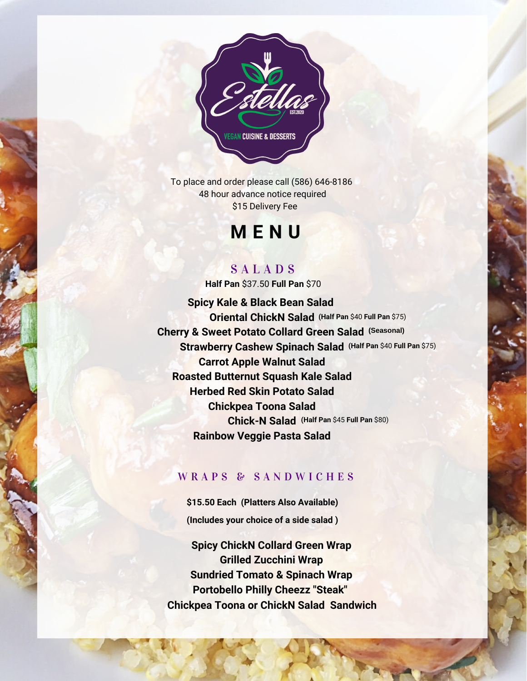

To place and order please call (586) 646-8186 48 hour advance notice required \$15 Delivery Fee

# **M E N U**

# S A L A D S

**Half Pan** \$37.50 **Full Pan** \$70

**Spicy Kale & Black Bean Salad Oriental ChickN Salad (Half Pan** \$40 **Full Pan** \$75)**Cherry & Sweet Potato Collard Green Salad (Seasonal) Strawberry Cashew Spinach Salad (Half Pan** \$40 **Full Pan** \$75) **Carrot Apple Walnut Salad Roasted Butternut Squash Kale Salad Herbed Red Skin Potato Salad Chickpea Toona Salad Chick-N Salad (Half Pan** \$45 **Full Pan** \$80) **Rainbow Veggie Pasta Salad**

### WRAPS & SANDWICHES

**\$15.50 Each (Platters Also Available) (Includes your choice of a side salad )**

**Spicy ChickN Collard Green Wrap Grilled Zucchini Wrap Sundried Tomato & Spinach Wrap Portobello Philly Cheezz "Steak" Chickpea Toona or ChickN Salad Sandwich**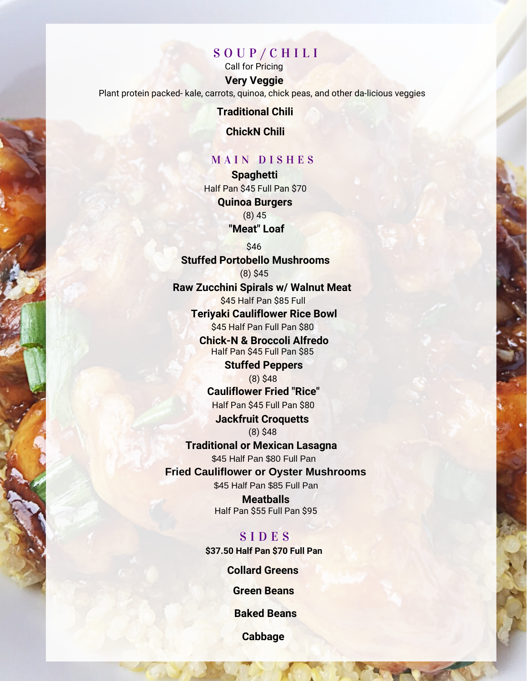# S O U P / C H I L I

**Very Veggie** Call for Pricing

Plant protein packed- kale, carrots, quinoa, chick peas, and other da-licious veggies

#### **Traditional Chili**

**ChickN Chili**

#### MAIN DISHES

**Spaghetti "Meat" Loaf Quinoa Burgers** Half Pan \$45 Full Pan \$70 (8) 45

**Stuffed Portobello Mushrooms** \$46 (8) \$45

**Raw Zucchini Spirals w/ Walnut Meat** \$45 Half Pan \$85 Full

**Teriyaki Cauliflower Rice Bowl** \$45 Half Pan Full Pan \$80

**Chick-N & Broccoli Alfredo** Half Pan \$45 Full Pan \$85

> **Stuffed Peppers** (8) \$48

**Cauliflower Fried "Rice"** Half Pan \$45 Full Pan \$80

**Jackfruit Croquetts** (8) \$48

**Traditional or Mexican Lasagna** \$45 Half Pan \$80 Full Pan **Fried Cauliflower or Oyster Mushrooms** \$45 Half Pan \$85 Full Pan

> **Meatballs** Half Pan \$55 Full Pan \$95

S I D E S **\$37.50 Half Pan \$70 Full Pan**

**Collard Greens**

**Green Beans**

**Baked Beans**

**Cabbage**